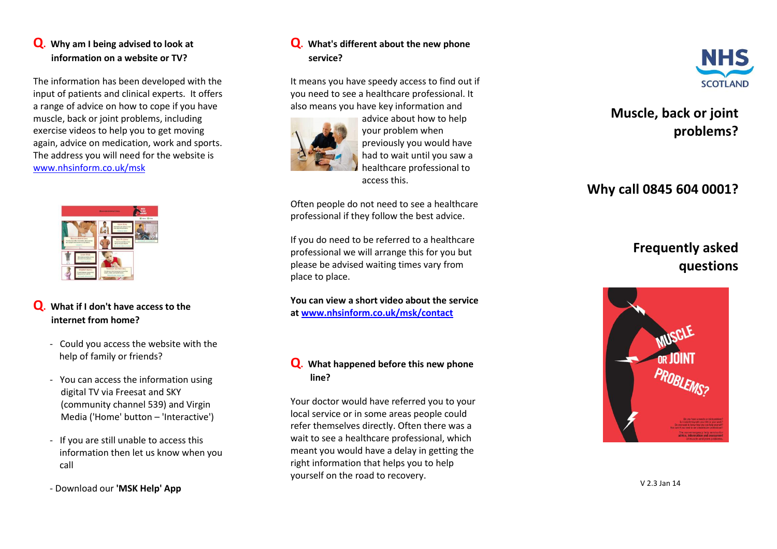#### **Q. Why am I being advised to look at information on a website or TV?**

The information has been developed with the input of patients and clinical experts. It offers a range of advice on how to cope if you have muscle, back or joint problems, including exercise videos to help you to get moving again, advice on medication, work and sports. The address you will need for the website is [www.nhsinform.co.uk/msk](http://www.nhsinform.co.uk/msk)



#### **Q. What if I don't have access to the internet from home?**

- Could you access the website with the help of family or friends?
- You can access the information using digital TV via Freesat and SKY (community channel 539) and Virgin Media ('Home' button – 'Interactive')
- If you are still unable to access this information then let us know when you call
- Download our **'MSK Help' App**

#### **Q. What's different about the new phone service?**

It means you have speedy access to find out if you need to see a healthcare professional. It also means you have key information and



advice about how to help your problem when previously you would have had to wait until you saw a healthcare professional to access this.

Often people do not need to see a healthcare professional if they follow the best advice.

If you do need to be referred to a healthcare professional we will arrange this for you but please be advised waiting times vary from place to place.

**You can view a short video about the service at [www.nhsinform.co.uk/msk/contact](http://www.nhsinform.co.uk/msk/contact)**

#### **Q. What happened before this new phone line?**

Your doctor would have referred you to your local service or in some areas people could refer themselves directly. Often there was a wait to see a healthcare professional, which meant you would have a delay in getting the right information that helps you to help yourself on the road to recovery.



# **Muscle, back or joint problems?**

# **Why call 0845 604 0001?**

# **Frequently asked questions**